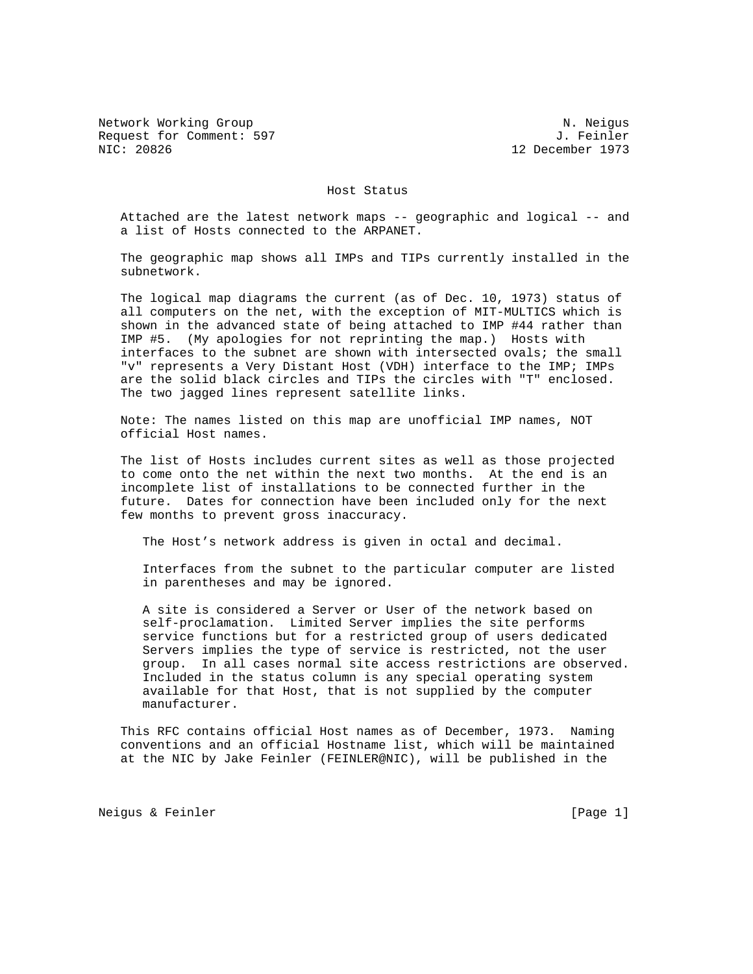Network Working Group Network Working Group Network Working Group Request for Comment: 597 J. Feinler<br>NIC: 20826 J. Pecember 1973

12 December 1973

Host Status

 Attached are the latest network maps -- geographic and logical -- and a list of Hosts connected to the ARPANET.

 The geographic map shows all IMPs and TIPs currently installed in the subnetwork.

 The logical map diagrams the current (as of Dec. 10, 1973) status of all computers on the net, with the exception of MIT-MULTICS which is shown in the advanced state of being attached to IMP #44 rather than IMP #5. (My apologies for not reprinting the map.) Hosts with interfaces to the subnet are shown with intersected ovals; the small "v" represents a Very Distant Host (VDH) interface to the IMP; IMPs are the solid black circles and TIPs the circles with "T" enclosed. The two jagged lines represent satellite links.

 Note: The names listed on this map are unofficial IMP names, NOT official Host names.

 The list of Hosts includes current sites as well as those projected to come onto the net within the next two months. At the end is an incomplete list of installations to be connected further in the future. Dates for connection have been included only for the next few months to prevent gross inaccuracy.

The Host's network address is given in octal and decimal.

 Interfaces from the subnet to the particular computer are listed in parentheses and may be ignored.

 A site is considered a Server or User of the network based on self-proclamation. Limited Server implies the site performs service functions but for a restricted group of users dedicated Servers implies the type of service is restricted, not the user group. In all cases normal site access restrictions are observed. Included in the status column is any special operating system available for that Host, that is not supplied by the computer manufacturer.

 This RFC contains official Host names as of December, 1973. Naming conventions and an official Hostname list, which will be maintained at the NIC by Jake Feinler (FEINLER@NIC), will be published in the

Neigus & Feinler [Page 1]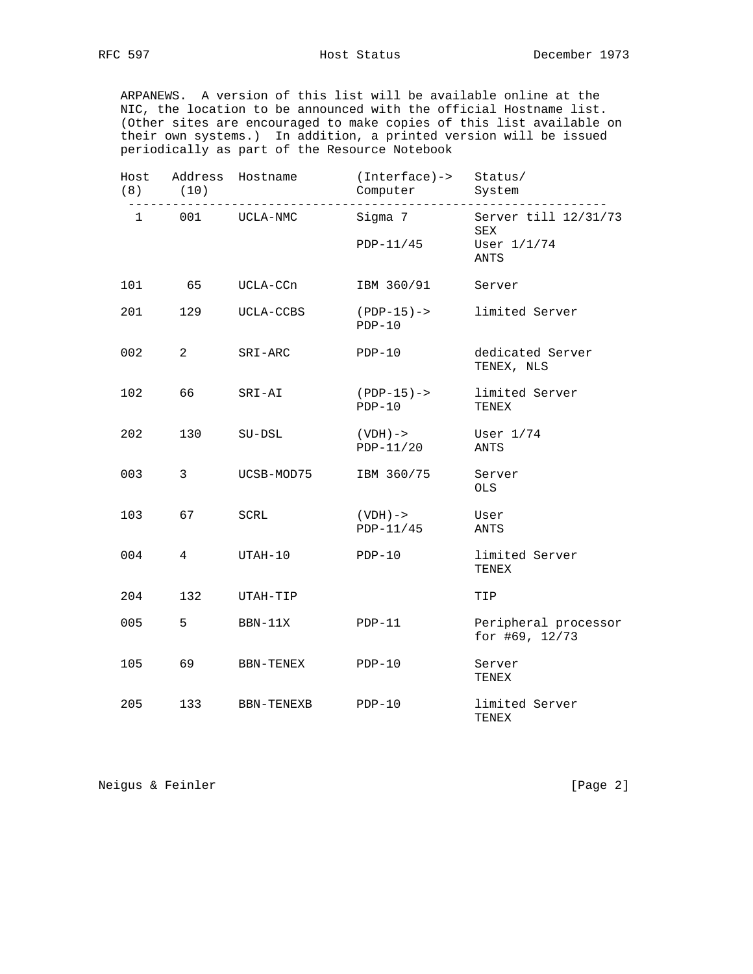ARPANEWS. A version of this list will be available online at the NIC, the location to be announced with the official Hostname list. (Other sites are encouraged to make copies of this list available on their own systems.) In addition, a printed version will be issued periodically as part of the Resource Notebook

| Host<br>(8)  | (10)           | Address Hostname | (Interface)-> Status/<br>Computer | System                                 |
|--------------|----------------|------------------|-----------------------------------|----------------------------------------|
| $\mathbf{1}$ |                | 001 UCLA-NMC     | Sigma 7                           | Server till 12/31/73<br>SEX            |
|              |                |                  | PDP-11/45                         | User 1/1/74<br>ANTS                    |
| 101          | 65             | UCLA-CCn         | IBM 360/91                        | Server                                 |
| 201          | 129            | UCLA-CCBS        | $(PDP-15)$ -><br>$PDP-10$         | limited Server                         |
| 002          | $\overline{2}$ | SRI-ARC          | $PDF-10$                          | dedicated Server<br>TENEX, NLS         |
| 102          | 66             | SRI-AI           | $(PDP-15)$ -><br>$PDP-10$         | limited Server<br>TENEX                |
| 202          | 130            | SU-DSL           | ( VDH ) –><br>PDP-11/20           | User $1/74$<br>ANTS                    |
| 003          | 3              | UCSB-MOD75       | IBM 360/75                        | Server<br><b>OLS</b>                   |
| 103          | 67             | SCRL             | ( VDH ) –><br>$PDP-11/45$         | User<br>ANTS                           |
| 004          | 4              | UTAH-10          | $PDP-10$                          | limited Server<br>TENEX                |
| 204          | 132            | UTAH-TIP         |                                   | TIP                                    |
| 005          | 5              | BBN-11X          | $PDP-11$                          | Peripheral processor<br>for #69, 12/73 |
| 105          | 69             | BBN-TENEX        | $PDP-10$                          | Server<br>TENEX                        |
| 205          | 133            | BBN-TENEXB       | $PDF-10$                          | limited Server<br>TENEX                |

Neigus & Feinler [Page 2]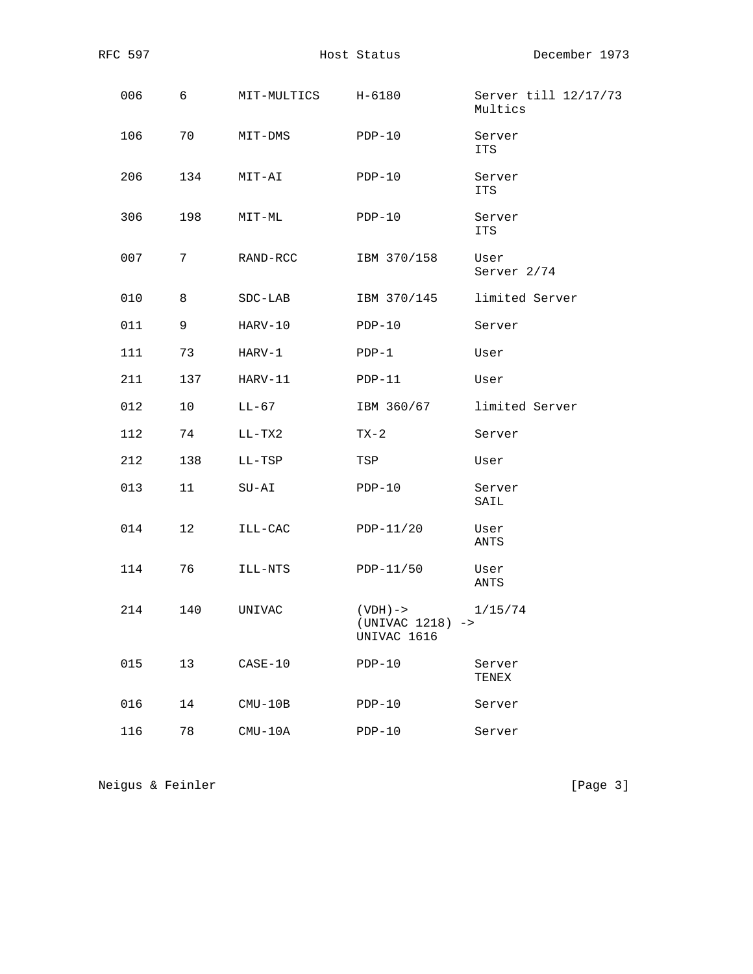| RFC 597 |             |                    | Host Status                                     | December 1973                   |
|---------|-------------|--------------------|-------------------------------------------------|---------------------------------|
| 006     | 6           | MIT-MULTICS H-6180 |                                                 | Server till 12/17/73<br>Multics |
| 106     | 70          | MIT-DMS            | $PDP-10$                                        | Server<br>ITS                   |
| 206     | 134         | MIT-AI             | $PDP-10$                                        | Server<br>ITS                   |
| 306     | 198         | MIT-ML             | $PDP-10$                                        | Server<br>ITS                   |
| 007     | $7^{\circ}$ | RAND-RCC           | IBM 370/158                                     | User<br>Server 2/74             |
| 010     | 8           | $SDC-LAB$          | IBM 370/145                                     | limited Server                  |
| 011     | 9           | HARV-10            | $PDP-10$                                        | Server                          |
| 111     | 73          | HARV-1             | $PDP-1$                                         | User                            |
| 211     | 137         | HARV-11            | $PDP-11$                                        | User                            |
| 012     | 10          | LL-67              | IBM 360/67                                      | limited Server                  |
| 112     | 74          | LL-TX2             | TX-2                                            | Server                          |
| 212     | 138         | LL-TSP             | TSP                                             | User                            |
| 013     | 11          | $SU-AI$            | $PDP-10$                                        | Server<br>SAIL                  |
| 014     | 12          | ILL-CAC            | $PDP-11/20$                                     | User<br>ANTS                    |
| 114     | 76          | ILL-NTS            | PDP-11/50                                       | User<br>ANTS                    |
| 214     | 140         | UNIVAC             | $(VDH)$ -><br>$(UNIVAC 1218)$ -><br>UNIVAC 1616 | 1/15/74                         |
| 015     | 13          | $CASE-10$          | $PDP-10$                                        | Server<br>TENEX                 |
| 016     | 14          | $CMU-10B$          | $PDP-10$                                        | Server                          |
| 116     | 78          | $CMU-10A$          | $PDP-10$                                        | Server                          |

Neigus & Feinler [Page 3]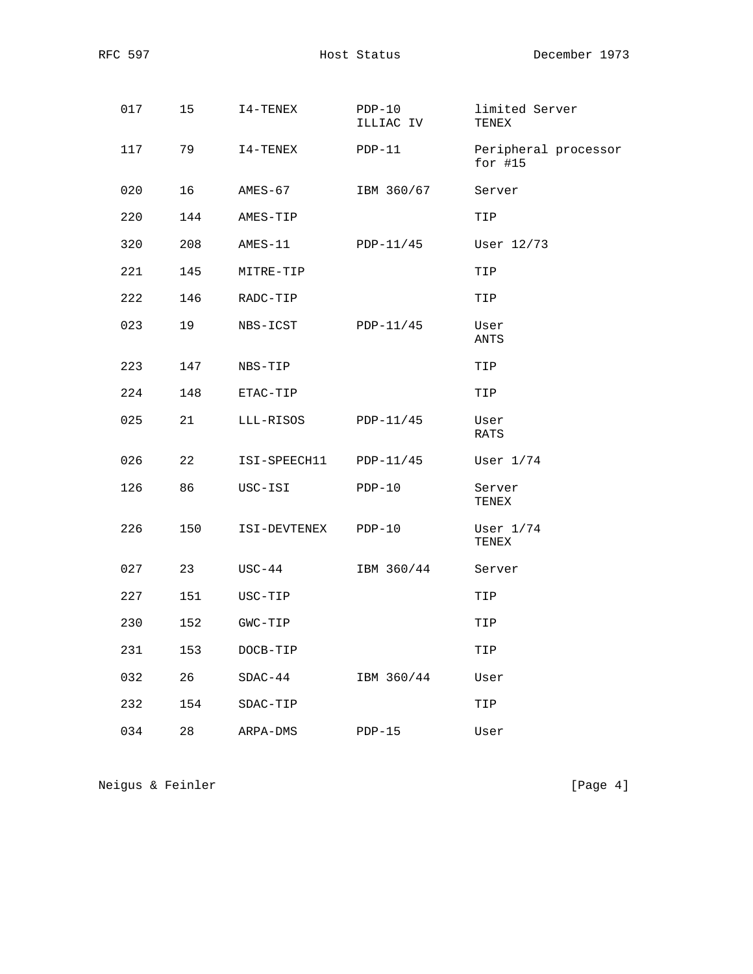| 017 | 15  | I4-TENEX     | $PDP-10$<br>ILLIAC IV | limited Server<br>TENEX           |
|-----|-----|--------------|-----------------------|-----------------------------------|
| 117 | 79  | I4-TENEX     | $PDP-11$              | Peripheral processor<br>for $#15$ |
| 020 | 16  | AMES-67      | IBM 360/67            | Server                            |
| 220 | 144 | AMES-TIP     |                       | TIP                               |
| 320 | 208 | AMES-11      | PDP-11/45             | User 12/73                        |
| 221 | 145 | MITRE-TIP    |                       | TIP                               |
| 222 | 146 | RADC-TIP     |                       | TIP                               |
| 023 | 19  | NBS-ICST     | PDP-11/45             | User<br>ANTS                      |
| 223 | 147 | NBS-TIP      |                       | TIP                               |
| 224 | 148 | ETAC-TIP     |                       | TIP                               |
| 025 | 21  | LLL-RISOS    | PDP-11/45             | User<br>RATS                      |
| 026 | 22  | ISI-SPEECH11 | PDP-11/45             | User $1/74$                       |
| 126 | 86  | USC-ISI      | $PDP-10$              | Server<br>TENEX                   |
| 226 | 150 | ISI-DEVTENEX | $PDP-10$              | User $1/74$<br>TENEX              |
| 027 | 23  | USC-44       | IBM 360/44            | Server                            |
| 227 | 151 | USC-TIP      |                       | TIP                               |
| 230 | 152 | GWC-TIP      |                       | TIP                               |
| 231 | 153 | DOCB-TIP     |                       | TIP                               |
| 032 | 26  | $SDAC-44$    | IBM 360/44            | User                              |
| 232 | 154 | SDAC-TIP     |                       | TIP                               |
| 034 | 28  | ARPA-DMS     | $PDP-15$              | User                              |

Neigus & Feinler [Page 4]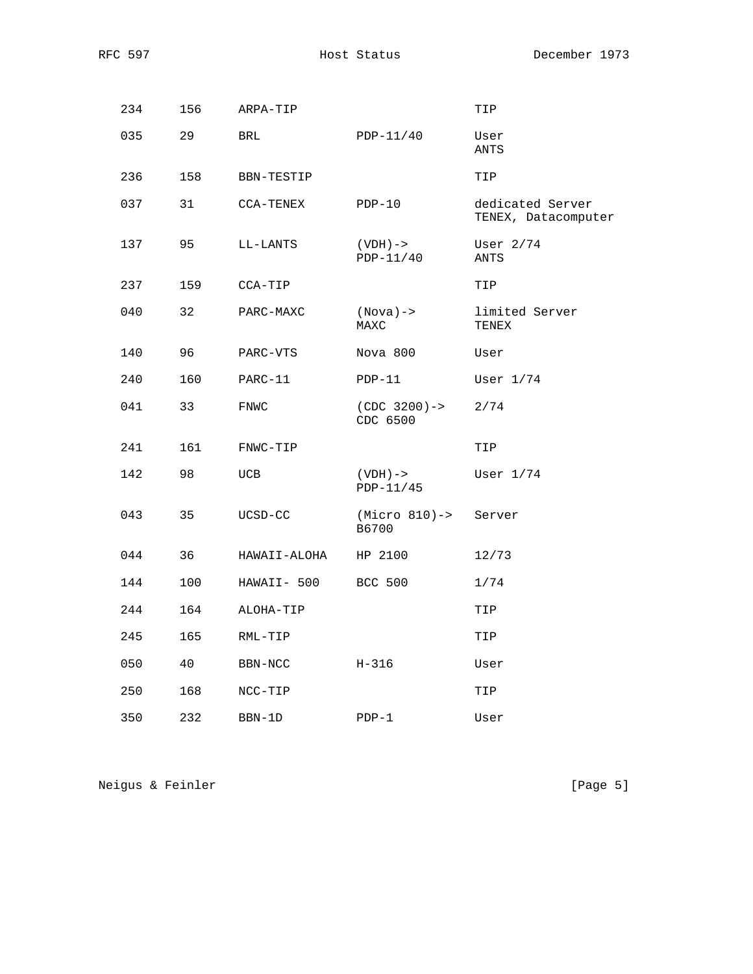| 234 | 156 | ARPA-TIP     |                             | TIP                                     |
|-----|-----|--------------|-----------------------------|-----------------------------------------|
| 035 | 29  | <b>BRL</b>   | $PDP-11/40$                 | User<br>ANTS                            |
| 236 | 158 | BBN-TESTIP   |                             | TIP                                     |
| 037 | 31  | CCA-TENEX    | $PDP-10$                    | dedicated Server<br>TENEX, Datacomputer |
| 137 | 95  | LL-LANTS     | $(VDH)$ -><br>PDP-11/40     | User $2/74$<br>ANTS                     |
| 237 | 159 | CCA-TIP      |                             | TIP                                     |
| 040 | 32  | PARC-MAXC    | $(Nova) ->$<br>MAXC         | limited Server<br>TENEX                 |
| 140 | 96  | PARC-VTS     | Nova 800                    | User                                    |
| 240 | 160 | PARC-11      | $PDP-11$                    | User $1/74$                             |
| 041 | 33  | FNWC         | $(CDC 3200)$ -><br>CDC 6500 | 2/74                                    |
| 241 | 161 | FNWC-TIP     |                             | TIP                                     |
| 142 | 98  | UCB          | $(VDH)$ -><br>PDP-11/45     | User $1/74$                             |
| 043 | 35  | UCSD-CC      | $(Micro 810) ->$<br>B6700   | Server                                  |
| 044 | 36  | HAWAII-ALOHA | HP 2100                     | 12/73                                   |
| 144 | 100 | HAWAII- 500  | <b>BCC 500</b>              | 1/74                                    |
| 244 | 164 | ALOHA-TIP    |                             | TIP                                     |
| 245 | 165 | RML-TIP      |                             | TIP                                     |
| 050 | 40  | BBN-NCC      | H-316                       | User                                    |
| 250 | 168 | NCC-TIP      |                             | TIP                                     |
| 350 | 232 | BBN-1D       | $PDP-1$                     | User                                    |

Neigus & Feinler [Page 5]